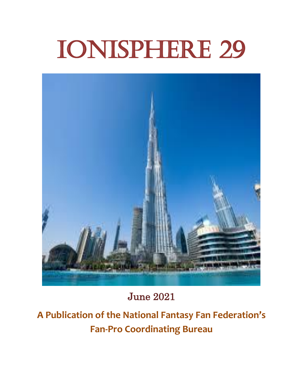# Ionisphere 29



June 2021

**A Publication of the National Fantasy Fan Federation's Fan-Pro Coordinating Bureau**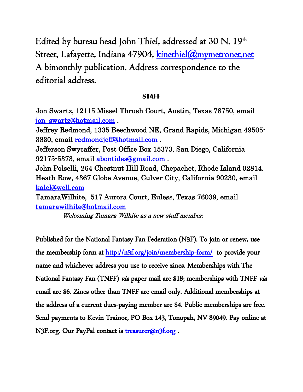Edited by bureau head John Thiel, addressed at 30 N.  $19^{\text{\tiny th}}$ Street, Lafayette, Indiana 47904, kinethiel@mymetronet.net A bimonthly publication. Address correspondence to the editorial address.

#### **STAFF**

Jon Swartz, 12115 Missel Thrush Court, Austin, Texas 78750, email [jon\\_swartz@hotmail.com](mailto:jon_swartz@hotmail.com) .

Jeffrey Redmond, 1335 Beechwood NE, Grand Rapids, Michigan 49505- 3830, email [redmondjeff@hotmail.com](mailto:redmondjeff@hotmail.com) . Jefferson Swycaffer, Post Office Box 15373, San Diego, California 92175-5373, email [abontides@gmail.com](mailto:abontides@gmail.com) . John Polselli, 264 Chestnut Hill Road, Chepachet, Rhode Island 02814. Heath Row, 4367 Globe Avenue, Culver City, California 90230, email [kalel@well.com](mailto:kalel@well.com)  TamaraWilhite, 517 Aurora Court, Euless, Texas 76039, email

[tamarawilhite@hotmail.com](mailto:tamarawilhite@hotmail.com) 

Welcoming Tamara Wilhite as a new staff member.

Published for the National Fantasy Fan Federation (N3F). To join or renew, use the membership form at<http://n3f.org/join/membership-form/>to provide your name and whichever address you use to receive zines. Memberships with The National Fantasy Fan (TNFF) via paper mail are \$18; memberships with TNFF via email are \$6. Zines other than TNFF are email only. Additional memberships at the address of a current dues-paying member are \$4. Public memberships are free. Send payments to Kevin Trainor, PO Box 143, Tonopah, NV 89049. Pay online at N3F.org. Our PayPal contact is treasurer@n3f.org.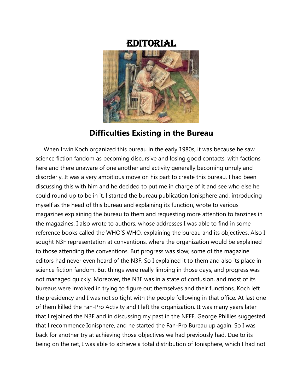### Editorial



#### **Difficulties Existing in the Bureau**

 When Irwin Koch organized this bureau in the early 1980s, it was because he saw science fiction fandom as becoming discursive and losing good contacts, with factions here and there unaware of one another and activity generally becoming unruly and disorderly. It was a very ambitious move on his part to create this bureau. I had been discussing this with him and he decided to put me in charge of it and see who else he could round up to be in it. I started the bureau publication Ionisphere and, introducing myself as the head of this bureau and explaining its function, wrote to various magazines explaining the bureau to them and requesting more attention to fanzines in the magazines. I also wrote to authors, whose addresses I was able to find in some reference books called the WHO'S WHO, explaining the bureau and its objectives. Also I sought N3F representation at conventions, where the organization would be explained to those attending the conventions. But progress was slow; some of the magazine editors had never even heard of the N3F. So I explained it to them and also its place in science fiction fandom. But things were really limping in those days, and progress was not managed quickly. Moreover, the N3F was in a state of confusion, and most of its bureaus were involved in trying to figure out themselves and their functions. Koch left the presidency and I was not so tight with the people following in that office. At last one of them killed the Fan-Pro Activity and I left the organization. It was many years later that I rejoined the N3F and in discussing my past in the NFFF, George Phillies suggested that I recommence Ionisphere, and he started the Fan-Pro Bureau up again. So I was back for another try at achieving those objectives we had previously had. Due to its being on the net, I was able to achieve a total distribution of Ionisphere, which I had not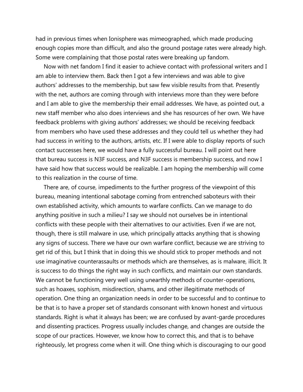had in previous times when Ionisphere was mimeographed, which made producing enough copies more than difficult, and also the ground postage rates were already high. Some were complaining that those postal rates were breaking up fandom.

 Now with net fandom I find it easier to achieve contact with professional writers and I am able to interview them. Back then I got a few interviews and was able to give authors' addresses to the membership, but saw few visible results from that. Presently with the net, authors are coming through with interviews more than they were before and I am able to give the membership their email addresses. We have, as pointed out, a new staff member who also does interviews and she has resources of her own. We have feedback problems with giving authors' addresses; we should be receiving feedback from members who have used these addresses and they could tell us whether they had had success in writing to the authors, artists, etc. If I were able to display reports of such contact successes here, we would have a fully successful bureau. I will point out here that bureau success is N3F success, and N3F success is membership success, and now I have said how that success would be realizable. I am hoping the membership will come to this realization in the course of time.

 There are, of course, impediments to the further progress of the viewpoint of this bureau, meaning intentional sabotage coming from entrenched saboteurs with their own established activity, which amounts to warfare conflicts. Can we manage to do anything positive in such a milieu? I say we should not ourselves be in intentional conflicts with these people with their alternatives to our activities. Even if we are not, though, there is still malware in use, which principally attacks anything that is showing any signs of success. There we have our own warfare conflict, because we are striving to get rid of this, but I think that in doing this we should stick to proper methods and not use imaginative counterassaults or methods which are themselves, as is malware, illicit. It is success to do things the right way in such conflicts, and maintain our own standards. We cannot be functioning very well using unearthly methods of counter-operations, such as hoaxes, sophism, misdirection, shams, and other illegitimate methods of operation. One thing an organization needs in order to be successful and to continue to be that is to have a proper set of standards consonant with known honest and virtuous standards. Right is what it always has been; we are confused by avant-garde procedures and dissenting practices. Progress usually includes change, and changes are outside the scope of our practices. However, we know how to correct this, and that is to behave righteously, let progress come when it will. One thing which is discouraging to our good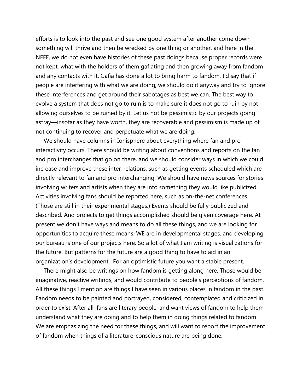efforts is to look into the past and see one good system after another come down; something will thrive and then be wrecked by one thing or another, and here in the NFFF, we do not even have histories of these past doings because proper records were not kept, what with the holders of them gafiating and then growing away from fandom and any contacts with it. Gafia has done a lot to bring harm to fandom. I'd say that if people are interfering with what we are doing, we should do it anyway and try to ignore these interferences and get around their sabotages as best we can. The best way to evolve a system that does not go to ruin is to make sure it does not go to ruin by not allowing ourselves to be ruined by it. Let us not be pessimistic by our projects going astray—insofar as they have worth, they are recoverable and pessimism is made up of not continuing to recover and perpetuate what we are doing.

 We should have columns in Ionisphere about everything where fan and pro interactivity occurs. There should be writing about conventions and reports on the fan and pro interchanges that go on there, and we should consider ways in which we could increase and improve these inter-relations, such as getting events scheduled which are directly relevant to fan and pro interchanging. We should have news sources for stories involving writers and artists when they are into something they would like publicized. Activities involving fans should be reported here, such as on-the-net conferences. (Those are still in their experimental stages.) Events should be fully publicized and described. And projects to get things accomplished should be given coverage here. At present we don't have ways and means to do all these things, and we are looking for opportunities to acquire these means. WE are in developmental stages, and developing our bureau is one of our projects here. So a lot of what I am writing is visualizations for the future. But patterns for the future are a good thing to have to aid in an organization's development. For an optimistic future you want a stable present.

 There might also be writings on how fandom is getting along here. Those would be imaginative, reactive writings, and would contribute to people's perceptions of fandom. All these things I mention are things I have seen in various places in fandom in the past. Fandom needs to be painted and portrayed, considered, contemplated and criticized in order to exist. After all, fans are literary people, and want views of fandom to help them understand what they are doing and to help them in doing things related to fandom. We are emphasizing the need for these things, and will want to report the improvement of fandom when things of a literature-conscious nature are being done.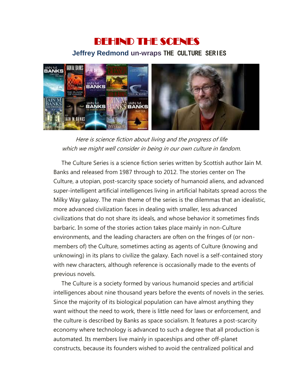## BEHIND THE SCENES  **Jeffrey Redmond un-wraps** THE CULTURE SERIES



Here is science fiction about living and the progress of life which we might well consider in being in our own culture in fandom.

 The Culture Series is a science fiction series written by Scottish author Iain M. Banks and released from 1987 through to 2012. The stories center on The Culture, a utopian, post-scarcity space society of humanoid aliens, and advanced super-intelligent artificial intelligences living in artificial habitats spread across the Milky Way galaxy. The main theme of the series is the dilemmas that an idealistic, more advanced civilization faces in dealing with smaller, less advanced civilizations that do not share its ideals, and whose behavior it sometimes finds barbaric. In some of the stories action takes place mainly in non-Culture environments, and the leading characters are often on the fringes of (or nonmembers of) the Culture, sometimes acting as agents of Culture (knowing and unknowing) in its plans to civilize the galaxy. Each novel is a self-contained story with new characters, although reference is occasionally made to the events of previous novels.

 The Culture is a society formed by various humanoid species and artificial intelligences about nine thousand years before the events of novels in the series. Since the majority of its biological population can have almost anything they want without the need to work, there is little need for laws or enforcement, and the culture is described by Banks as space socialism. It features a post-scarcity economy where technology is advanced to such a degree that all production is automated. Its members live mainly in spaceships and other off-planet constructs, because its founders wished to avoid the centralized political and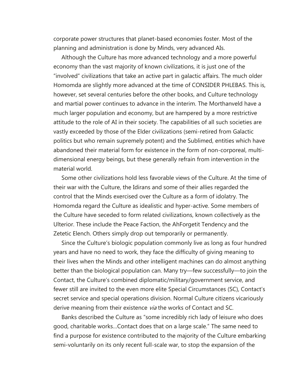corporate power structures that planet-based economies foster. Most of the planning and administration is done by Minds, very advanced AIs.

 Although the Culture has more advanced technology and a more powerful economy than the vast majority of known civilizations, it is just one of the "involved" civilizations that take an active part in galactic affairs. The much older Homomda are slightly more advanced at the time of CONSIDER PHLEBAS. This is, however, set several centuries before the other books, and Culture technology and martial power continues to advance in the interim. The Morthanveld have a much larger population and economy, but are hampered by a more restrictive attitude to the role of AI in their society. The capabilities of all such societies are vastly exceeded by those of the Elder civilizations (semi-retired from Galactic politics but who remain supremely potent) and the Sublimed, entities which have abandoned their material form for existence in the form of non-corporeal, multidimensional energy beings, but these generally refrain from intervention in the material world.

 Some other civilizations hold less favorable views of the Culture. At the time of their war with the Culture, the Idirans and some of their allies regarded the control that the Minds exercised over the Culture as a form of idolatry. The Homomda regard the Culture as idealistic and hyper-active. Some members of the Culture have seceded to form related civilizations, known collectively as the Ulterior. These include the Peace Faction, the AhForgetit Tendency and the Zetetic Elench. Others simply drop out temporarily or permanently.

 Since the Culture's biologic population commonly live as long as four hundred years and have no need to work, they face the difficulty of giving meaning to their lives when the Minds and other intelligent machines can do almost anything better than the biological population can. Many try—few successfully—to join the Contact, the Culture's combined diplomatic/military/government service, and fewer still are invited to the even more elite Special Circumstances (SC), Contact's secret service and special operations division. Normal Culture citizens vicariously derive meaning from their existence via the works of Contact and SC.

 Banks described the Culture as "some incredibly rich lady of leisure who does good, charitable works…Contact does that on a large scale." The same need to find a purpose for existence contributed to the majority of the Culture embarking semi-voluntarily on its only recent full-scale war, to stop the expansion of the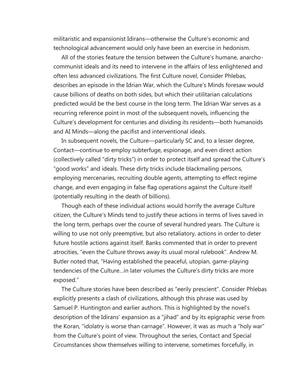militaristic and expansionist Idirans—otherwise the Culture's economic and technological advancement would only have been an exercise in hedonism.

 All of the stories feature the tension between the Culture's humane, anarchocommunist ideals and its need to intervene in the affairs of less enlightened and often less advanced civilizations. The first Culture novel, Consider Phlebas, describes an episode in the Idrian War, which the Culture's Minds foresaw would cause billions of deaths on both sides, but which their utilitarian calculations predicted would be the best course in the long term. The Idrian War serves as a recurring reference point in most of the subsequent novels, influencing the Culture's development for centuries and dividing its residents—both humanoids and AI Minds—along the pacifist and interventional ideals.

 In subsequent novels, the Culture—particularly SC and, to a lesser degree, Contact—continue to employ subterfuge, espionage, and even direct action (collectively called "dirty tricks") in order to protect itself and spread the Culture's "good works" and ideals. These dirty tricks include blackmailing persons, employing mercenaries, recruiting double agents, attempting to effect regime change, and even engaging in false flag operations against the Culture itself (potentially resulting in the death of billions).

 Though each of these individual actions would horrify the average Culture citizen, the Culture's Minds tend to justify these actions in terms of lives saved in the long term, perhaps over the course of several hundred years. The Culture is willing to use not only preemptive, but also retaliatory, actions in order to deter future hostile actions against itself. Banks commented that in order to prevent atrocities, "even the Culture throws away its usual moral rulebook". Andrew M. Butler noted that, "Having established the peaceful, utopian, game-playing tendencies of the Culture…in later volumes the Culture's dirty tricks are more exposed."

 The Culture stories have been described as "eerily prescient". Consider Phlebas explicitly presents a clash of civilizations, although this phrase was used by Samuel P. Huntington and earlier authors. This is highlighted by the novel's description of the Idirans' expansion as a "jihad" and by its epigraphic verse from the Koran, "idolatry is worse than carnage". However, it was as much a "holy war" from the Culture's point of view. Throughout the series, Contact and Special Circumstances show themselves willing to intervene, sometimes forcefully, in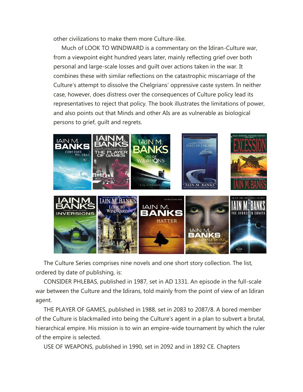other civilizations to make them more Culture-like.

 Much of LOOK TO WINDWARD is a commentary on the Idiran-Culture war, from a viewpoint eight hundred years later, mainly reflecting grief over both personal and large-scale losses and guilt over actions taken in the war. It combines these with similar reflections on the catastrophic miscarriage of the Culture's attempt to dissolve the Chelgrians' oppressive caste system. In neither case, however, does distress over the consequences of Culture policy lead its representatives to reject that policy. The book illustrates the limitations of power, and also points out that Minds and other AIs are as vulnerable as biological persons to grief, guilt and regrets.



 The Culture Series comprises nine novels and one short story collection. The list, ordered by date of publishing, is:

 CONSIDER PHLEBAS, published in 1987, set in AD 1331. An episode in the full-scale war between the Culture and the Idirans, told mainly from the point of view of an Idiran agent.

 THE PLAYER OF GAMES, published in 1988, set in 2083 to 2087/8. A bored member of the Culture is blackmailed into being the Culture's agent in a plan to subvert a brutal, hierarchical empire. His mission is to win an empire-wide tournament by which the ruler of the empire is selected.

USE OF WEAPONS, published in 1990, set in 2092 and in 1892 CE. Chapters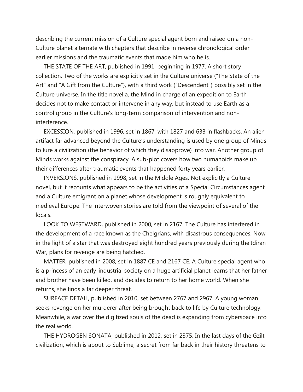describing the current mission of a Culture special agent born and raised on a non-Culture planet alternate with chapters that describe in reverse chronological order earlier missions and the traumatic events that made him who he is.

 THE STATE OF THE ART, published in 1991, beginning in 1977. A short story collection. Two of the works are explicitly set in the Culture universe ("The State of the Art" and "A Gift from the Culture"), with a third work ("Descendent") possibly set in the Culture universe. In the title novella, the Mind in charge of an expedition to Earth decides not to make contact or intervene in any way, but instead to use Earth as a control group in the Culture's long-term comparison of intervention and noninterference.

 EXCESSION, published in 1996, set in 1867, with 1827 and 633 in flashbacks. An alien artifact far advanced beyond the Culture's understanding is used by one group of Minds to lure a civilization (the behavior of which they disapprove) into war. Another group of Minds works against the conspiracy. A sub-plot covers how two humanoids make up their differences after traumatic events that happened forty years earlier.

 INVERSIONS, published in 1998, set in the Middle Ages. Not explicitly a Culture novel, but it recounts what appears to be the activities of a Special Circumstances agent and a Culture emigrant on a planet whose development is roughly equivalent to medieval Europe. The interwoven stories are told from the viewpoint of several of the locals.

 LOOK TO WESTWARD, published in 2000, set in 2167. The Culture has interfered in the development of a race known as the Chelgrians, with disastrous consequences. Now, in the light of a star that was destroyed eight hundred years previously during the Idiran War, plans for revenge are being hatched.

 MATTER, published in 2008, set in 1887 CE and 2167 CE. A Culture special agent who is a princess of an early-industrial society on a huge artificial planet learns that her father and brother have been killed, and decides to return to her home world. When she returns, she finds a far deeper threat.

 SURFACE DETAIL, published in 2010, set between 2767 and 2967. A young woman seeks revenge on her murderer after being brought back to life by Culture technology. Meanwhile, a war over the digitized souls of the dead is expanding from cyberspace into the real world.

 THE HYDROGEN SONATA, published in 2012, set in 2375. In the last days of the Gzilt civilization, which is about to Sublime, a secret from far back in their history threatens to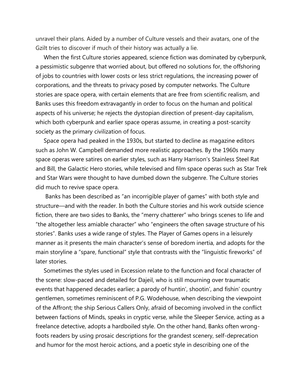unravel their plans. Aided by a number of Culture vessels and their avatars, one of the Gzilt tries to discover if much of their history was actually a lie.

 When the first Culture stories appeared, science fiction was dominated by cyberpunk, a pessimistic subgenre that worried about, but offered no solutions for, the offshoring of jobs to countries with lower costs or less strict regulations, the increasing power of corporations, and the threats to privacy posed by computer networks. The Culture stories are space opera, with certain elements that are free from scientific realism, and Banks uses this freedom extravagantly in order to focus on the human and political aspects of his universe; he rejects the dystopian direction of present-day capitalism, which both cyberpunk and earlier space operas assume, in creating a post-scarcity society as the primary civilization of focus.

 Space opera had peaked in the 1930s, but started to decline as magazine editors such as John W. Campbell demanded more realistic approaches. By the 1960s many space operas were satires on earlier styles, such as Harry Harrison's Stainless Steel Rat and Bill, the Galactic Hero stories, while televised and film space operas such as Star Trek and Star Wars were thought to have dumbed down the subgenre. The Culture stories did much to revive space opera.

 Banks has been described as "an incorrigible player of games" with both style and structure—and with the reader. In both the Culture stories and his work outside science fiction, there are two sides to Banks, the "merry chatterer" who brings scenes to life and "the altogether less amiable character" who "engineers the often savage structure of his stories". Banks uses a wide range of styles. The Player of Games opens in a leisurely manner as it presents the main character's sense of boredom inertia, and adopts for the main storyline a "spare, functional" style that contrasts with the "linguistic fireworks" of later stories.

 Sometimes the styles used in Excession relate to the function and focal character of the scene: slow-paced and detailed for Dajeil, who is still mourning over traumatic events that happened decades earlier; a parody of huntin', shootin', and fishin' country gentlemen, sometimes reminiscent of P.G. Wodehouse, when describing the viewpoint of the Affront; the ship Serious Callers Only, afraid of becoming involved in the conflict between factions of Minds, speaks in cryptic verse, while the Sleeper Service, acting as a freelance detective, adopts a hardboiled style. On the other hand, Banks often wrongfoots readers by using prosaic descriptions for the grandest scenery, self-deprecation and humor for the most heroic actions, and a poetic style in describing one of the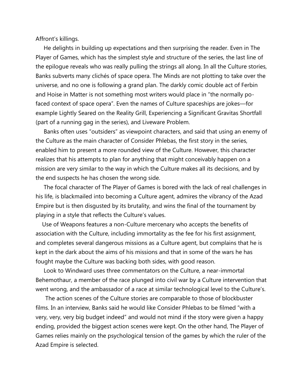Affront's killings.

 He delights in building up expectations and then surprising the reader. Even in The Player of Games, which has the simplest style and structure of the series, the last line of the epilogue reveals who was really pulling the strings all along. In all the Culture stories, Banks subverts many clichés of space opera. The Minds are not plotting to take over the universe, and no one is following a grand plan. The darkly comic double act of Ferbin and Hoise in Matter is not something most writers would place in "the normally pofaced context of space opera". Even the names of Culture spaceships are jokes—for example Lightly Seared on the Reality Grill, Experiencing a Significant Gravitas Shortfall (part of a running gag in the series), and Liveware Problem.

 Banks often uses "outsiders" as viewpoint characters, and said that using an enemy of the Culture as the main character of Consider Phlebas, the first story in the series, enabled him to present a more rounded view of the Culture. However, this character realizes that his attempts to plan for anything that might conceivably happen on a mission are very similar to the way in which the Culture makes all its decisions, and by the end suspects he has chosen the wrong side.

 The focal character of The Player of Games is bored with the lack of real challenges in his life, is blackmailed into becoming a Culture agent, admires the vibrancy of the Azad Empire but is then disgusted by its brutality, and wins the final of the tournament by playing in a style that reflects the Culture's values.

 Use of Weapons features a non-Culture mercenary who accepts the benefits of association with the Culture, including immortality as the fee for his first assignment, and completes several dangerous missions as a Culture agent, but complains that he is kept in the dark about the aims of his missions and that in some of the wars he has fought maybe the Culture was backing both sides, with good reason.

 Look to Windward uses three commentators on the Culture, a near-immortal Behemothaur, a member of the race plunged into civil war by a Culture intervention that went wrong, and the ambassador of a race at similar technological level to the Culture's.

 The action scenes of the Culture stories are comparable to those of blockbuster films. In an interview, Banks said he would like Consider Phlebas to be filmed "with a very, very, very big budget indeed" and would not mind if the story were given a happy ending, provided the biggest action scenes were kept. On the other hand, The Player of Games relies mainly on the psychological tension of the games by which the ruler of the Azad Empire is selected.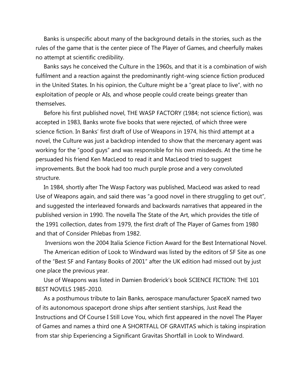Banks is unspecific about many of the background details in the stories, such as the rules of the game that is the center piece of The Player of Games, and cheerfully makes no attempt at scientific credibility.

 Banks says he conceived the Culture in the 1960s, and that it is a combination of wish fulfilment and a reaction against the predominantly right-wing science fiction produced in the United States. In his opinion, the Culture might be a "great place to live", with no exploitation of people or AIs, and whose people could create beings greater than themselves.

 Before his first published novel, THE WASP FACTORY (1984; not science fiction), was accepted in 1983, Banks wrote five books that were rejected, of which three were science fiction. In Banks' first draft of Use of Weapons in 1974, his third attempt at a novel, the Culture was just a backdrop intended to show that the mercenary agent was working for the "good guys" and was responsible for his own misdeeds. At the time he persuaded his friend Ken MacLeod to read it and MacLeod tried to suggest improvements. But the book had too much purple prose and a very convoluted structure.

 In 1984, shortly after The Wasp Factory was published, MacLeod was asked to read Use of Weapons again, and said there was "a good novel in there struggling to get out", and suggested the interleaved forwards and backwards narratives that appeared in the published version in 1990. The novella The State of the Art, which provides the title of the 1991 collection, dates from 1979, the first draft of The Player of Games from 1980 and that of Consider Phlebas from 1982.

Inversions won the 2004 Italia Science Fiction Award for the Best International Novel.

 The American edition of Look to Windward was listed by the editors of SF Site as one of the "Best SF and Fantasy Books of 2001" after the UK edition had missed out by just one place the previous year.

 Use of Weapons was listed in Damien Broderick's book SCIENCE FICTION: THE 101 BEST NOVELS 1985-2010.

 As a posthumous tribute to Iain Banks, aerospace manufacturer SpaceX named two of its autonomous spaceport drone ships after sentient starships, Just Read the Instructions and Of Course I Still Love You, which first appeared in the novel The Player of Games and names a third one A SHORTFALL OF GRAVITAS which is taking inspiration from star ship Experiencing a Significant Gravitas Shortfall in Look to Windward.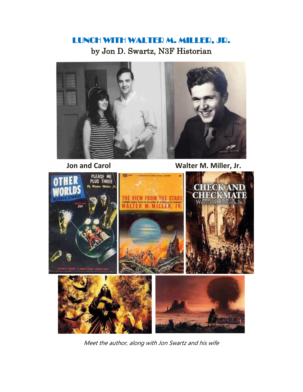## LUNCH WITH WALTER M. MILLER, JR. by Jon D. Swartz, N3F Historian



 **Jon and Carol Carol Walter M. Miller, Jr.** 



Meet the author, along with Jon Swartz and his wife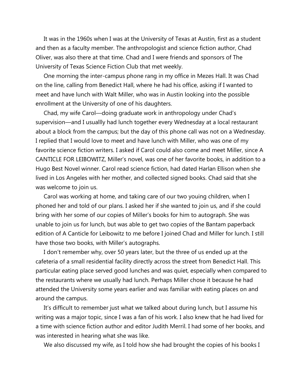It was in the 1960s when I was at the University of Texas at Austin, first as a student and then as a faculty member. The anthropologist and science fiction author, Chad Oliver, was also there at that time. Chad and I were friends and sponsors of The University of Texas Science Fiction Club that met weekly.

 One morning the inter-campus phone rang in my office in Mezes Hall. It was Chad on the line, calling from Benedict Hall, where he had his office, asking if I wanted to meet and have lunch with Walt Miller, who was in Austin looking into the possible enrollment at the University of one of his daughters.

 Chad, my wife Carol—doing graduate work in anthropology under Chad's supervision—and I usuallly had lunch together every Wednesday at a local restaurant about a block from the campus; but the day of this phone call was not on a Wednesday. I replied that I would love to meet and have lunch with Miller, who was one of my favorite science fiction writers. I asked if Carol could also come and meet Miller, since A CANTICLE FOR LEIBOWITZ, Miller's novel, was one of her favorite books, in addition to a Hugo Best Novel winner. Carol read science fiction, had dated Harlan Ellison when she lived in Los Angeles with her mother, and collected signed books. Chad said that she was welcome to join us.

 Carol was working at home, and taking care of our two youing children, when I phoned her and told of our plans. I asked her if she wanted to join us, and if she could bring with her some of our copies of Miller's books for him to autograph. She was unable to join us for lunch, but was able to get two copies of the Bantam paperback edition of A Canticle for Leibowitz to me before I joined Chad and Miller for lunch. I still have those two books, with Miller's autographs.

 I don't remember why, over 50 years later, but the three of us ended up at the cafeteria of a small residential facility directly across the street from Benedict Hall. This particular eating place served good lunches and was quiet, especially when compared to the restaurants where we usually had lunch. Perhaps Miller chose it because he had attended the University some years earlier and was familiar with eating places on and around the campus.

 It's difficult to remember just what we talked about during lunch, but I assume his writing was a major topic, since I was a fan of his work. I also knew that he had lived for a time with science fiction author and editor Judith Merril. I had some of her books, and was interested in hearing what she was like.

We also discussed my wife, as I told how she had brought the copies of his books I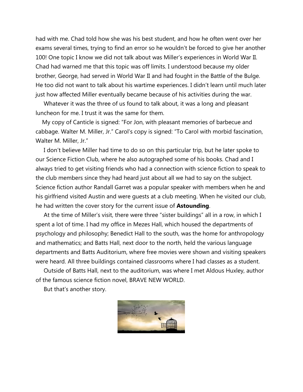had with me. Chad told how she was his best student, and how he often went over her exams several times, trying to find an error so he wouldn't be forced to give her another 100! One topic I know we did not talk about was Miller's experiences in World War II. Chad had warned me that this topic was off limits. I understood because my older brother, George, had served in World War II and had fought in the Battle of the Bulge. He too did not want to talk about his wartime experiences. I didn't learn until much later just how affected Miller eventually became because of his activities during the war.

 Whatever it was the three of us found to talk about, it was a long and pleasant luncheon for me. I trust it was the same for them.

 My copy of Canticle is signed: "For Jon, with pleasant memories of barbecue and cabbage. Walter M. Miller, Jr." Carol's copy is signed: "To Carol with morbid fascination, Walter M. Miller, Jr."

 I don't believe Miller had time to do so on this particular trip, but he later spoke to our Science Fiction Club, where he also autographed some of his books. Chad and I always tried to get visiting friends who had a connection with science fiction to speak to the club members since they had heard just about all we had to say on the subject. Science fiction author Randall Garret was a popular speaker with members when he and his girlfriend visited Austin and were guests at a club meeting. When he visited our club, he had written the cover story for the current issue of **Astounding**.

 At the time of Miller's visit, there were three "sister buildings" all in a row, in which I spent a lot of time. I had my office in Mezes Hall, which housed the departments of psychology and philosophy; Benedict Hall to the south, was the home for anthropology and mathematics; and Batts Hall, next door to the north, held the various language departments and Batts Auditorium, where free movies were shown and visiting speakers were heard. All three buildings contained classrooms where I had classes as a student.

 Outside of Batts Hall, next to the auditorium, was where I met Aldous Huxley, author of the famous science fiction novel, BRAVE NEW WORLD.

But that's another story.

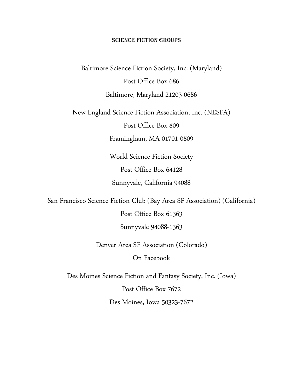#### SCIENCE FICTION GROUPS

Baltimore Science Fiction Society, Inc. (Maryland) Post Office Box 686 Baltimore, Maryland 21203-0686

New England Science Fiction Association, Inc. (NESFA)

Post Office Box 809

Framingham, MA 01701-0809

World Science Fiction Society Post Office Box 64128 Sunnyvale, California 94088

San Francisco Science Fiction Club (Bay Area SF Association) (California)

Post Office Box 61363

Sunnyvale 94088-1363

Denver Area SF Association (Colorado)

On Facebook

Des Moines Science Fiction and Fantasy Society, Inc. (Iowa) Post Office Box 7672

Des Moines, Iowa 50323-7672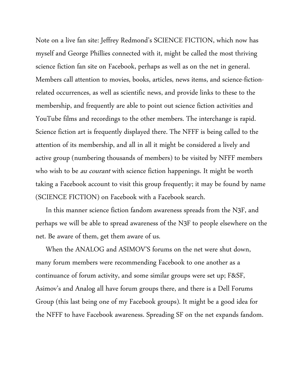Note on a live fan site: Jeffrey Redmond's SCIENCE FICTION, which now has myself and George Phillies connected with it, might be called the most thriving science fiction fan site on Facebook, perhaps as well as on the net in general. Members call attention to movies, books, articles, news items, and science-fictionrelated occurrences, as well as scientific news, and provide links to these to the membership, and frequently are able to point out science fiction activities and YouTube films and recordings to the other members. The interchange is rapid. Science fiction art is frequently displayed there. The NFFF is being called to the attention of its membership, and all in all it might be considered a lively and active group (numbering thousands of members) to be visited by NFFF members who wish to be *au courant* with science fiction happenings. It might be worth taking a Facebook account to visit this group frequently; it may be found by name (SCIENCE FICTION) on Facebook with a Facebook search.

 In this manner science fiction fandom awareness spreads from the N3F, and perhaps we will be able to spread awareness of the N3F to people elsewhere on the net. Be aware of them, get them aware of us.

 When the ANALOG and ASIMOV'S forums on the net were shut down, many forum members were recommending Facebook to one another as a continuance of forum activity, and some similar groups were set up; F&SF, Asimov's and Analog all have forum groups there, and there is a Dell Forums Group (this last being one of my Facebook groups). It might be a good idea for the NFFF to have Facebook awareness. Spreading SF on the net expands fandom.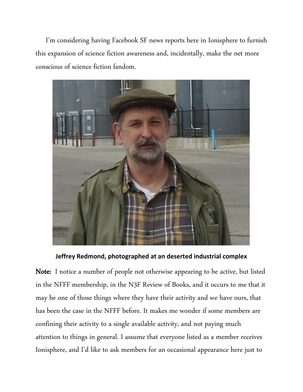I'm considering having Facebook SF news reports here in Ionisphere to furnish this expansion of science fiction awareness and, incidentally, make the net more conscious of science fiction fandom.



**Jeffrey Redmond, photographed at an deserted industrial complex**

Note: I notice a number of people not otherwise appearing to be active, but listed in the NFFF membership, in the N3F Review of Books, and it occurs to me that it may be one of those things where they have their activity and we have ours, that has been the case in the NFFF before. It makes me wonder if some members are confining their activity to a single available activity, and not paying much attention to things in general. I assume that everyone listed as a member receives Ionisphere, and I'd like to ask members for an occasional appearance here just to